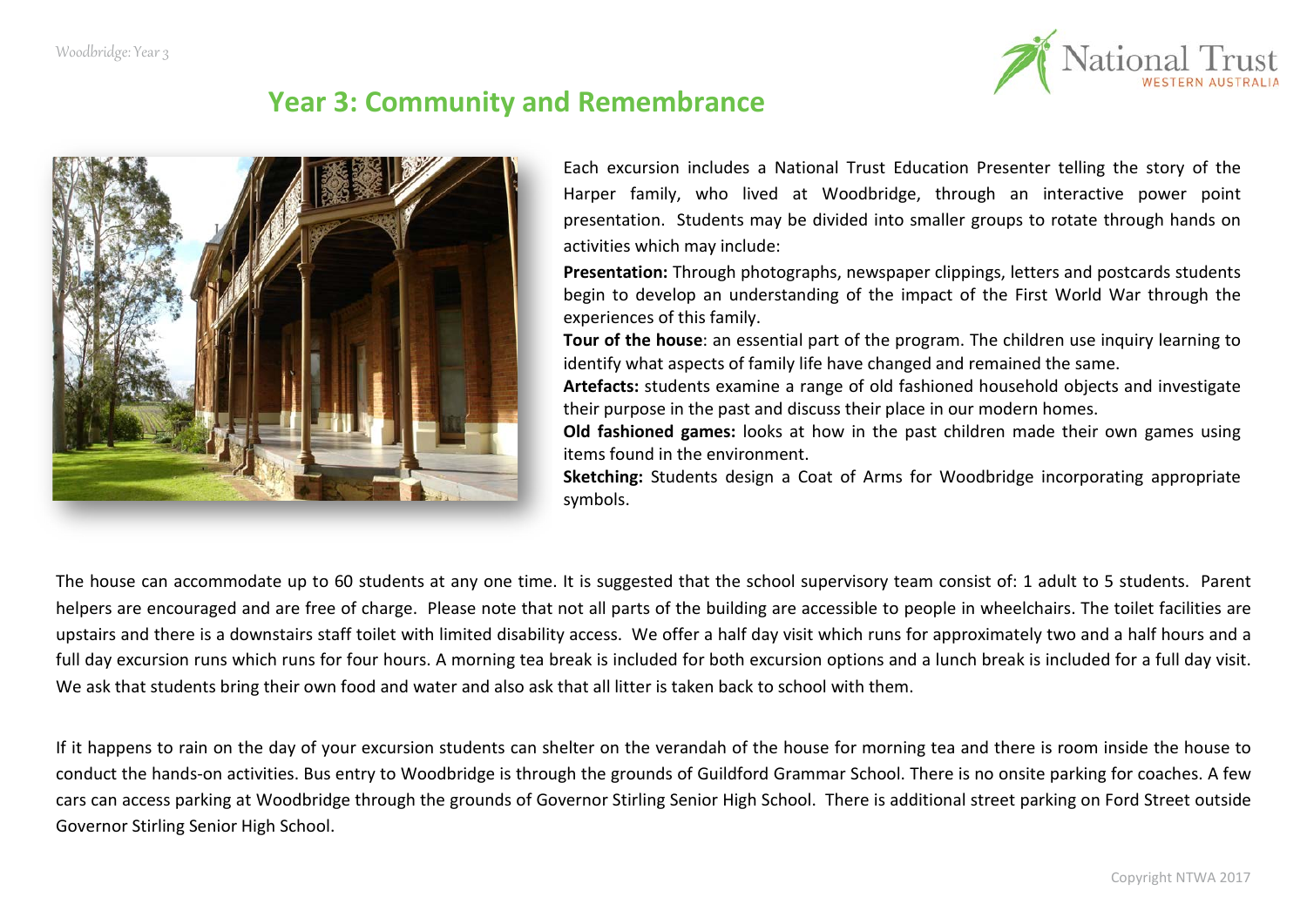

# **Year 3: Community and Remembrance**



Each excursion includes a National Trust Education Presenter telling the story of the Harper family, who lived at Woodbridge, through an interactive power point presentation. Students may be divided into smaller groups to rotate through hands on activities which may include:

**Presentation:** Through photographs, newspaper clippings, letters and postcards students begin to develop an understanding of the impact of the First World War through the experiences of this family.

**Tour of the house**: an essential part of the program. The children use inquiry learning to identify what aspects of family life have changed and remained the same.

**Artefacts:** students examine a range of old fashioned household objects and investigate their purpose in the past and discuss their place in our modern homes.

**Old fashioned games:** looks at how in the past children made their own games using items found in the environment.

**Sketching:** Students design a Coat of Arms for Woodbridge incorporating appropriate symbols.

The house can accommodate up to 60 students at any one time. It is suggested that the school supervisory team consist of: 1 adult to 5 students. Parent helpers are encouraged and are free of charge. Please note that not all parts of the building are accessible to people in wheelchairs. The toilet facilities are upstairs and there is a downstairs staff toilet with limited disability access. We offer a half day visit which runs for approximately two and a half hours and a full day excursion runs which runs for four hours. A morning tea break is included for both excursion options and a lunch break is included for a full day visit. We ask that students bring their own food and water and also ask that all litter is taken back to school with them.

If it happens to rain on the day of your excursion students can shelter on the verandah of the house for morning tea and there is room inside the house to conduct the hands-on activities. Bus entry to Woodbridge is through the grounds of Guildford Grammar School. There is no onsite parking for coaches. A few cars can access parking at Woodbridge through the grounds of Governor Stirling Senior High School. There is additional street parking on Ford Street outside Governor Stirling Senior High School.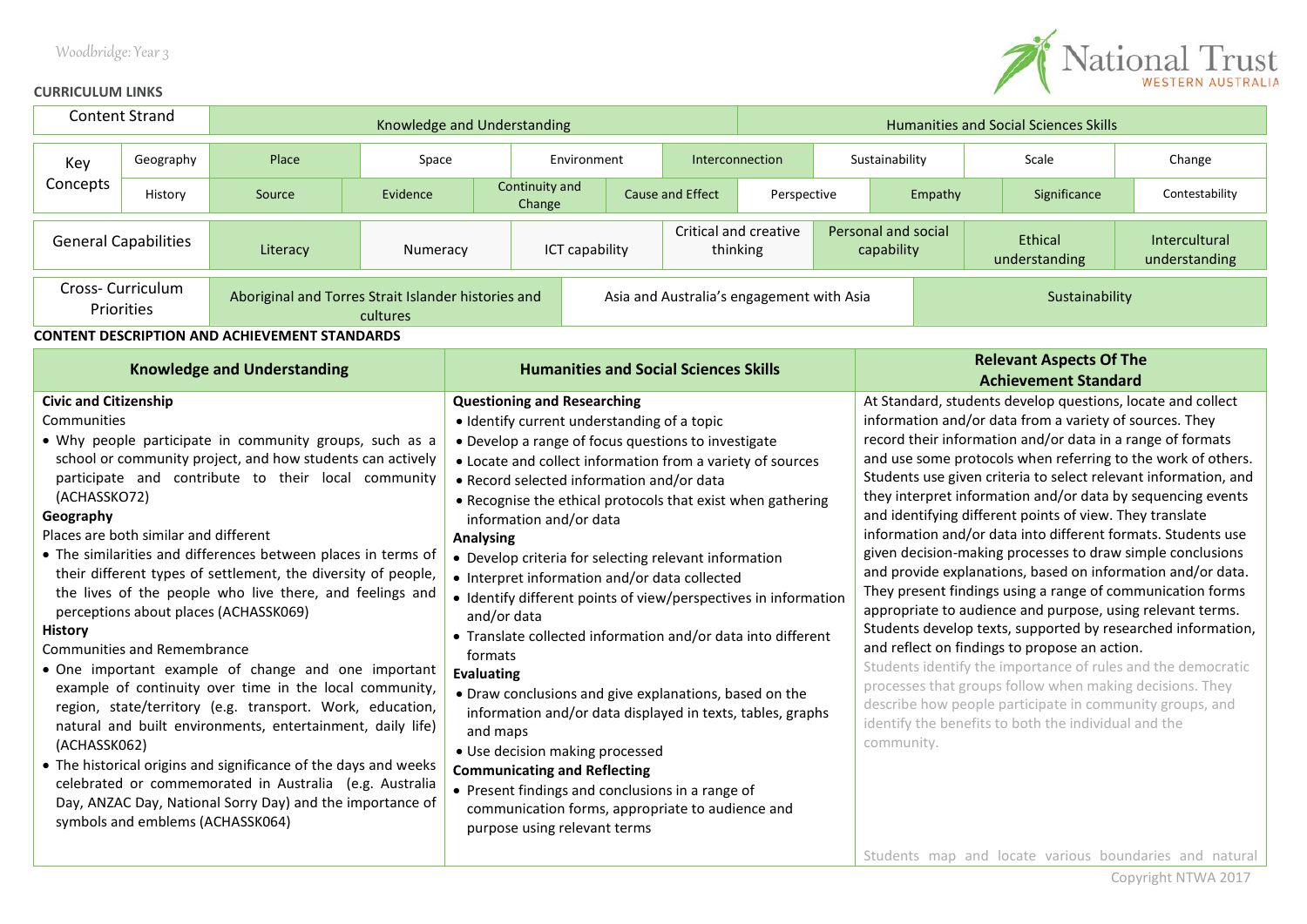### Woodbridge: Year 3



#### **CURRICULUM LINKS**

| <b>Content Strand</b>                                                                                                                                                                                                                                                                                                                                                                                                                                                                                                                                                                                                                                                                                                                                                                                                                                                                                                                                                                                                                                                                        |           | Knowledge and Understanding                          |                                                                                                                                                                                                                                                                                                                                                                                                                                                                                                                                                                                                                                                                                                                                                                                                                                                                                                                                                                                                                     |                                              |                                   |             |                                 | <b>Humanities and Social Sciences Skills</b>                                                                                                                                                                                                                                                                                                                                                                                                                                                                                                                                                                                                                                                                                                                                                                                                                                                                                                                                                                                                                                                                                                                                                                         |                                                               |                          |                                |              |                |
|----------------------------------------------------------------------------------------------------------------------------------------------------------------------------------------------------------------------------------------------------------------------------------------------------------------------------------------------------------------------------------------------------------------------------------------------------------------------------------------------------------------------------------------------------------------------------------------------------------------------------------------------------------------------------------------------------------------------------------------------------------------------------------------------------------------------------------------------------------------------------------------------------------------------------------------------------------------------------------------------------------------------------------------------------------------------------------------------|-----------|------------------------------------------------------|---------------------------------------------------------------------------------------------------------------------------------------------------------------------------------------------------------------------------------------------------------------------------------------------------------------------------------------------------------------------------------------------------------------------------------------------------------------------------------------------------------------------------------------------------------------------------------------------------------------------------------------------------------------------------------------------------------------------------------------------------------------------------------------------------------------------------------------------------------------------------------------------------------------------------------------------------------------------------------------------------------------------|----------------------------------------------|-----------------------------------|-------------|---------------------------------|----------------------------------------------------------------------------------------------------------------------------------------------------------------------------------------------------------------------------------------------------------------------------------------------------------------------------------------------------------------------------------------------------------------------------------------------------------------------------------------------------------------------------------------------------------------------------------------------------------------------------------------------------------------------------------------------------------------------------------------------------------------------------------------------------------------------------------------------------------------------------------------------------------------------------------------------------------------------------------------------------------------------------------------------------------------------------------------------------------------------------------------------------------------------------------------------------------------------|---------------------------------------------------------------|--------------------------|--------------------------------|--------------|----------------|
| Key                                                                                                                                                                                                                                                                                                                                                                                                                                                                                                                                                                                                                                                                                                                                                                                                                                                                                                                                                                                                                                                                                          | Geography | Place<br>Space                                       |                                                                                                                                                                                                                                                                                                                                                                                                                                                                                                                                                                                                                                                                                                                                                                                                                                                                                                                                                                                                                     |                                              |                                   | Environment | Interconnection                 |                                                                                                                                                                                                                                                                                                                                                                                                                                                                                                                                                                                                                                                                                                                                                                                                                                                                                                                                                                                                                                                                                                                                                                                                                      |                                                               | Sustainability           |                                | Scale        | Change         |
| Concepts                                                                                                                                                                                                                                                                                                                                                                                                                                                                                                                                                                                                                                                                                                                                                                                                                                                                                                                                                                                                                                                                                     | History   | Source                                               | Evidence                                                                                                                                                                                                                                                                                                                                                                                                                                                                                                                                                                                                                                                                                                                                                                                                                                                                                                                                                                                                            |                                              | Continuity and<br>Change          |             | Cause and Effect<br>Perspective |                                                                                                                                                                                                                                                                                                                                                                                                                                                                                                                                                                                                                                                                                                                                                                                                                                                                                                                                                                                                                                                                                                                                                                                                                      |                                                               | Empathy                  |                                | Significance | Contestability |
| <b>General Capabilities</b><br>Literacy<br>Numeracy                                                                                                                                                                                                                                                                                                                                                                                                                                                                                                                                                                                                                                                                                                                                                                                                                                                                                                                                                                                                                                          |           | ICT capability                                       |                                                                                                                                                                                                                                                                                                                                                                                                                                                                                                                                                                                                                                                                                                                                                                                                                                                                                                                                                                                                                     |                                              | Critical and creative<br>thinking |             |                                 | Personal and social<br>capability                                                                                                                                                                                                                                                                                                                                                                                                                                                                                                                                                                                                                                                                                                                                                                                                                                                                                                                                                                                                                                                                                                                                                                                    |                                                               | Ethical<br>understanding | Intercultural<br>understanding |              |                |
| Cross-Curriculum<br>Aboriginal and Torres Strait Islander histories and<br>Priorities<br>cultures                                                                                                                                                                                                                                                                                                                                                                                                                                                                                                                                                                                                                                                                                                                                                                                                                                                                                                                                                                                            |           |                                                      | Asia and Australia's engagement with Asia                                                                                                                                                                                                                                                                                                                                                                                                                                                                                                                                                                                                                                                                                                                                                                                                                                                                                                                                                                           |                                              |                                   |             |                                 |                                                                                                                                                                                                                                                                                                                                                                                                                                                                                                                                                                                                                                                                                                                                                                                                                                                                                                                                                                                                                                                                                                                                                                                                                      | Sustainability                                                |                          |                                |              |                |
|                                                                                                                                                                                                                                                                                                                                                                                                                                                                                                                                                                                                                                                                                                                                                                                                                                                                                                                                                                                                                                                                                              |           | <b>CONTENT DESCRIPTION AND ACHIEVEMENT STANDARDS</b> |                                                                                                                                                                                                                                                                                                                                                                                                                                                                                                                                                                                                                                                                                                                                                                                                                                                                                                                                                                                                                     |                                              |                                   |             |                                 |                                                                                                                                                                                                                                                                                                                                                                                                                                                                                                                                                                                                                                                                                                                                                                                                                                                                                                                                                                                                                                                                                                                                                                                                                      |                                                               |                          |                                |              |                |
| <b>Knowledge and Understanding</b>                                                                                                                                                                                                                                                                                                                                                                                                                                                                                                                                                                                                                                                                                                                                                                                                                                                                                                                                                                                                                                                           |           |                                                      |                                                                                                                                                                                                                                                                                                                                                                                                                                                                                                                                                                                                                                                                                                                                                                                                                                                                                                                                                                                                                     | <b>Humanities and Social Sciences Skills</b> |                                   |             |                                 |                                                                                                                                                                                                                                                                                                                                                                                                                                                                                                                                                                                                                                                                                                                                                                                                                                                                                                                                                                                                                                                                                                                                                                                                                      | <b>Relevant Aspects Of The</b><br><b>Achievement Standard</b> |                          |                                |              |                |
| <b>Civic and Citizenship</b><br>Communities<br>. Why people participate in community groups, such as a<br>school or community project, and how students can actively<br>participate and contribute to their local community<br>(ACHASSKO72)<br>Geography<br>Places are both similar and different<br>• The similarities and differences between places in terms of<br>their different types of settlement, the diversity of people,<br>the lives of the people who live there, and feelings and<br>perceptions about places (ACHASSK069)<br><b>History</b><br><b>Communities and Remembrance</b><br>• One important example of change and one important<br>example of continuity over time in the local community,<br>region, state/territory (e.g. transport. Work, education,<br>natural and built environments, entertainment, daily life)<br>(ACHASSK062)<br>• The historical origins and significance of the days and weeks<br>celebrated or commemorated in Australia (e.g. Australia<br>Day, ANZAC Day, National Sorry Day) and the importance of<br>symbols and emblems (ACHASSK064) |           |                                                      | <b>Questioning and Researching</b><br>· Identify current understanding of a topic<br>• Develop a range of focus questions to investigate<br>• Locate and collect information from a variety of sources<br>• Record selected information and/or data<br>• Recognise the ethical protocols that exist when gathering<br>information and/or data<br><b>Analysing</b><br>• Develop criteria for selecting relevant information<br>• Interpret information and/or data collected<br>· Identify different points of view/perspectives in information<br>and/or data<br>• Translate collected information and/or data into different<br>formats<br><b>Evaluating</b><br>• Draw conclusions and give explanations, based on the<br>information and/or data displayed in texts, tables, graphs<br>and maps<br>· Use decision making processed<br><b>Communicating and Reflecting</b><br>• Present findings and conclusions in a range of<br>communication forms, appropriate to audience and<br>purpose using relevant terms |                                              |                                   |             |                                 | At Standard, students develop questions, locate and collect<br>information and/or data from a variety of sources. They<br>record their information and/or data in a range of formats<br>and use some protocols when referring to the work of others.<br>Students use given criteria to select relevant information, and<br>they interpret information and/or data by sequencing events<br>and identifying different points of view. They translate<br>information and/or data into different formats. Students use<br>given decision-making processes to draw simple conclusions<br>and provide explanations, based on information and/or data.<br>They present findings using a range of communication forms<br>appropriate to audience and purpose, using relevant terms.<br>Students develop texts, supported by researched information,<br>and reflect on findings to propose an action.<br>Students identify the importance of rules and the democratic<br>processes that groups follow when making decisions. They<br>describe how people participate in community groups, and<br>identify the benefits to both the individual and the<br>community.<br>Students map and locate various boundaries and natural |                                                               |                          |                                |              |                |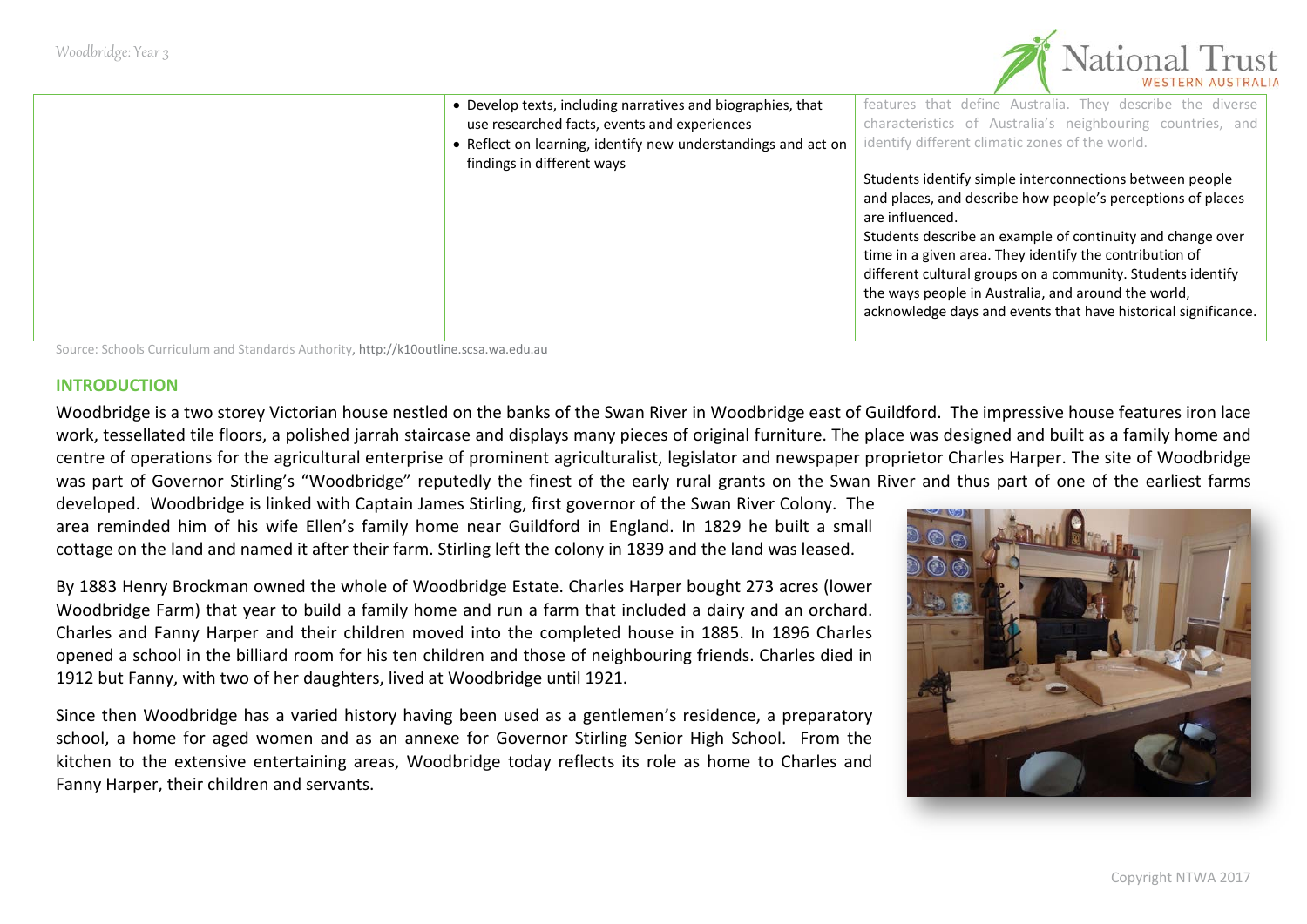

| • Develop texts, including narratives and biographies, that   | features that define Australia. They describe the diverse      |
|---------------------------------------------------------------|----------------------------------------------------------------|
| use researched facts, events and experiences                  | characteristics of Australia's neighbouring countries, and     |
| • Reflect on learning, identify new understandings and act on | identify different climatic zones of the world.                |
| findings in different ways                                    |                                                                |
|                                                               | Students identify simple interconnections between people       |
|                                                               | and places, and describe how people's perceptions of places    |
|                                                               | are influenced.                                                |
|                                                               | Students describe an example of continuity and change over     |
|                                                               | time in a given area. They identify the contribution of        |
|                                                               | different cultural groups on a community. Students identify    |
|                                                               | the ways people in Australia, and around the world,            |
|                                                               | acknowledge days and events that have historical significance. |
|                                                               |                                                                |

Source: Schools Curriculum and Standards Authority[, http://k10outline.scsa.wa.edu.au](http://k10outline.scsa.wa.edu.au/)

#### **INTRODUCTION**

Woodbridge is a two storey Victorian house nestled on the banks of the Swan River in Woodbridge east of Guildford. The impressive house features iron lace work, tessellated tile floors, a polished jarrah staircase and displays many pieces of original furniture. The place was designed and built as a family home and centre of operations for the agricultural enterprise of prominent agriculturalist, legislator and newspaper proprietor Charles Harper. The site of Woodbridge was part of Governor Stirling's "Woodbridge" reputedly the finest of the early rural grants on the Swan River and thus part of one of the earliest farms

developed. Woodbridge is linked with Captain James Stirling, first governor of the Swan River Colony. The area reminded him of his wife Ellen's family home near Guildford in England. In 1829 he built a small cottage on the land and named it after their farm. Stirling left the colony in 1839 and the land was leased.

By 1883 Henry Brockman owned the whole of Woodbridge Estate. Charles Harper bought 273 acres (lower Woodbridge Farm) that year to build a family home and run a farm that included a dairy and an orchard. Charles and Fanny Harper and their children moved into the completed house in 1885. In 1896 Charles opened a school in the billiard room for his ten children and those of neighbouring friends. Charles died in 1912 but Fanny, with two of her daughters, lived at Woodbridge until 1921.

Since then Woodbridge has a varied history having been used as a gentlemen's residence, a preparatory school, a home for aged women and as an annexe for Governor Stirling Senior High School. From the kitchen to the extensive entertaining areas, Woodbridge today reflects its role as home to Charles and Fanny Harper, their children and servants.

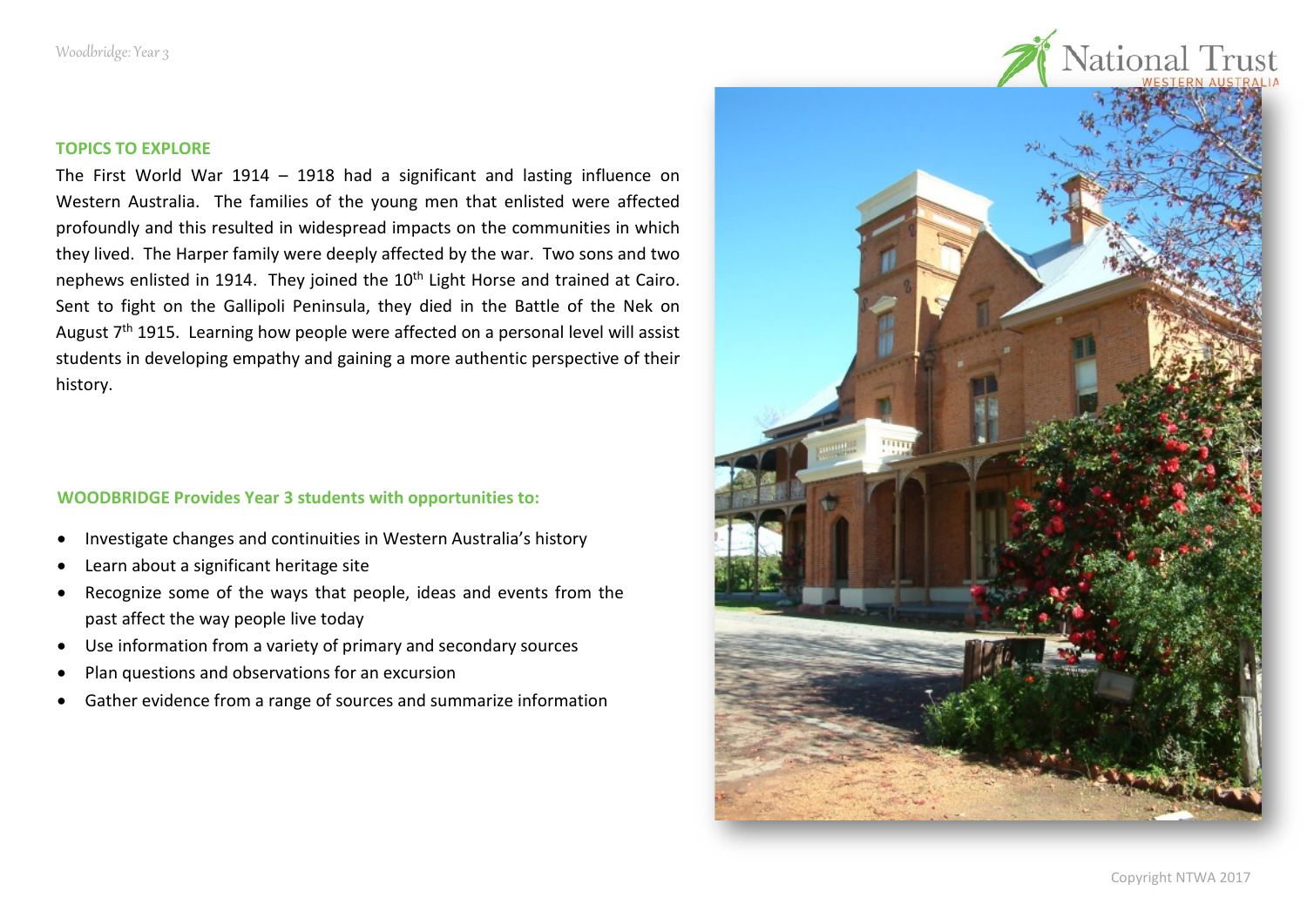

The First World War 1914 – 1918 had a significant and lasting influence on Western Australia. The families of the young men that enlisted were affected profoundly and this resulted in widespread impacts on the communities in which they lived. The Harper family were deeply affected by the war. Two sons and two nephews enlisted in 1914. They joined the 10<sup>th</sup> Light Horse and trained at Cairo. Sent to fight on the Gallipoli Peninsula, they died in the Battle of the Nek on August  $7<sup>th</sup>$  1915. Learning how people were affected on a personal level will assist students in developing empathy and gaining a more authentic perspective of their history.

#### **WOODBRIDGE Provides Year 3 students with opportunities to:**

- Investigate changes and continuities in Western Australia's history
- Learn about a significant heritage site
- Recognize some of the ways that people, ideas and events from the past affect the way people live today
- Use information from a variety of primary and secondary sources
- Plan questions and observations for an excursion
- Gather evidence from a range of sources and summarize information

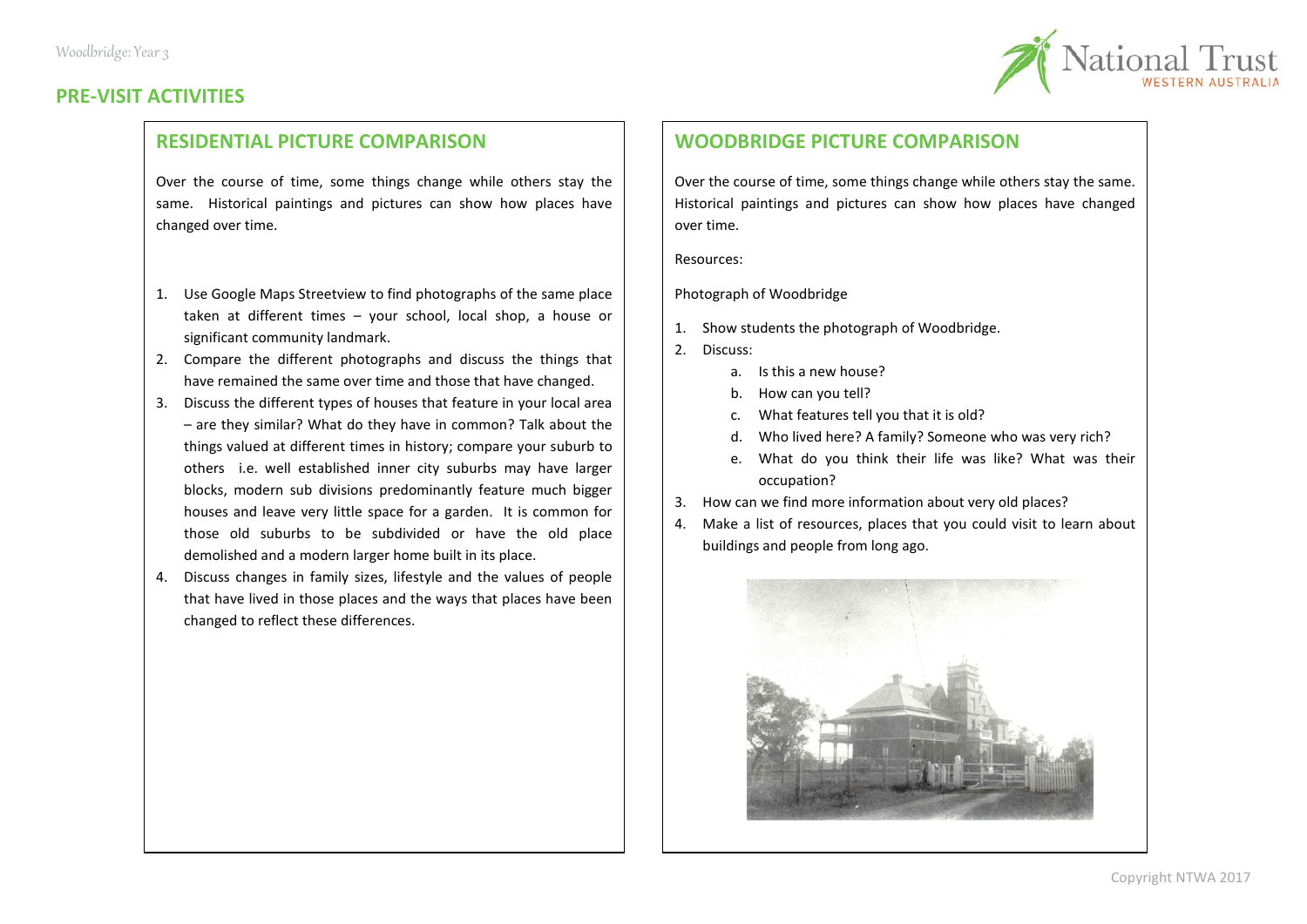



#### **RESIDENTIAL PICTURE COMPARISON**

Over the course of time, some things change while others stay the same. Historical paintings and pictures can show how places have changed over time.

- 1. Use Google Maps Streetview to find photographs of the same place taken at different times – your school, local shop, a house or significant community landmark.
- 2. Compare the different photographs and discuss the things that have remained the same over time and those that have changed.
- 3. Discuss the different types of houses that feature in your local area – are they similar? What do they have in common? Talk about the things valued at different times in history; compare your suburb to others i.e. well established inner city suburbs may have larger blocks, modern sub divisions predominantly feature much bigger houses and leave very little space for a garden. It is common for those old suburbs to be subdivided or have the old place demolished and a modern larger home built in its place.
- 4. Discuss changes in family sizes, lifestyle and the values of people that have lived in those places and the ways that places have been changed to reflect these differences.

#### **WOODBRIDGE PICTURE COMPARISON**

Over the course of time, some things change while others stay the same. Historical paintings and pictures can show how places have changed over time.

Resources:

Photograph of Woodbridge

- 1. Show students the photograph of Woodbridge.
- 2. Discuss:
	- a. Is this a new house?
	- b. How can you tell?
	- c. What features tell you that it is old?
	- d. Who lived here? A family? Someone who was very rich?
	- e. What do you think their life was like? What was their occupation?
- 3. How can we find more information about very old places?
- 4. Make a list of resources, places that you could visit to learn about buildings and people from long ago.

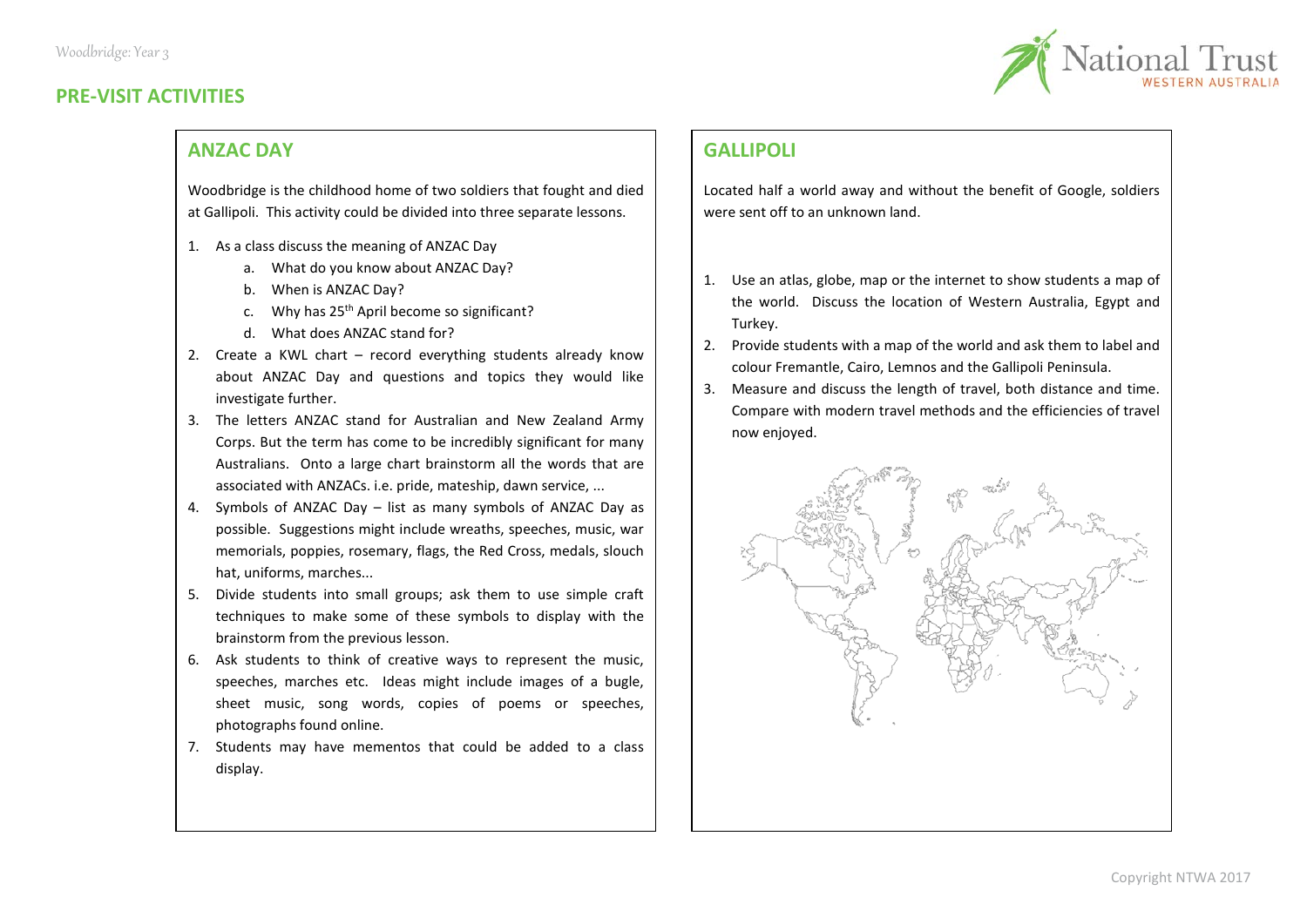# **PRE-VISIT ACTIVITIES**



#### **ANZAC DAY**

Woodbridge is the childhood home of two soldiers that fought and died at Gallipoli. This activity could be divided into three separate lessons.

- 1. As a class discuss the meaning of ANZAC Day
	- a. What do you know about ANZAC Day?
	- b. When is ANZAC Day?
	- c. Why has 25<sup>th</sup> April become so significant?
	- d. What does ANZAC stand for?
- 2. Create a KWL chart record everything students already know about ANZAC Day and questions and topics they would like investigate further.
- 3. The letters ANZAC stand for Australian and New Zealand Army Corps. But the term has come to be incredibly significant for many Australians. Onto a large chart brainstorm all the words that are associated with ANZACs. i.e. pride, mateship, dawn service, ...
- 4. Symbols of ANZAC Day list as many symbols of ANZAC Day as possible. Suggestions might include wreaths, speeches, music, war memorials, poppies, rosemary, flags, the Red Cross, medals, slouch hat, uniforms, marches...
- 5. Divide students into small groups; ask them to use simple craft techniques to make some of these symbols to display with the brainstorm from the previous lesson.
- 6. Ask students to think of creative ways to represent the music, speeches, marches etc. Ideas might include images of a bugle, sheet music, song words, copies of poems or speeches, photographs found online.
- 7. Students may have mementos that could be added to a class display.

# **GALLIPOLI**

Located half a world away and without the benefit of Google, soldiers were sent off to an unknown land.

- 1. Use an atlas, globe, map or the internet to show students a map of the world. Discuss the location of Western Australia, Egypt and Turkey.
- 2. Provide students with a map of the world and ask them to label and colour Fremantle, Cairo, Lemnos and the Gallipoli Peninsula.
- 3. Measure and discuss the length of travel, both distance and time. Compare with modern travel methods and the efficiencies of travel now enjoyed.

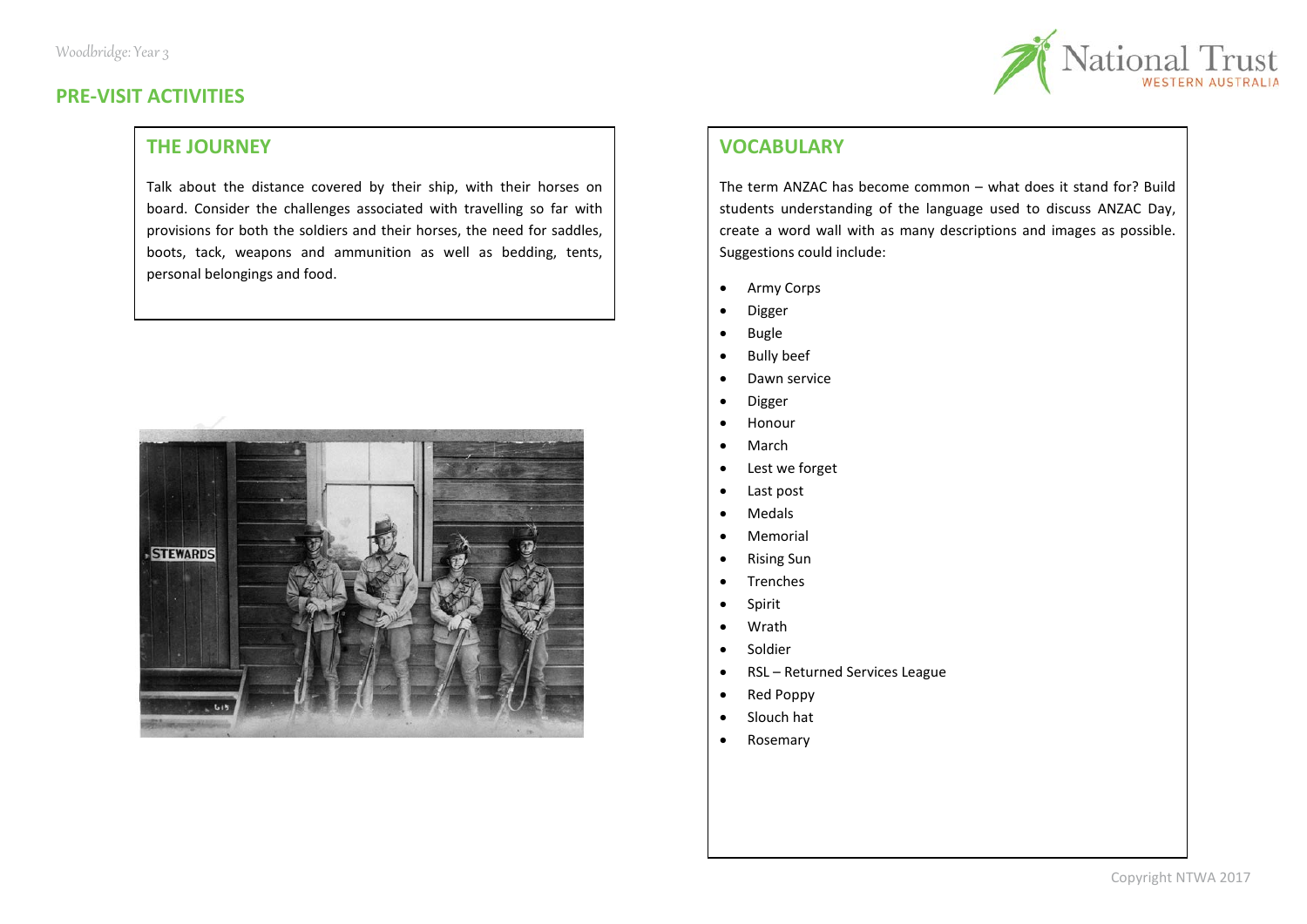

### **PRE-VISIT ACTIVITIES**

# **THE JOURNEY**

Talk about the distance covered by their ship, with their horses on board. Consider the challenges associated with travelling so far with provisions for both the soldiers and their horses, the need for saddles, boots, tack, weapons and ammunition as well as bedding, tents, personal belongings and food.



# **VOCABULARY**

The term ANZAC has become common – what does it stand for? Build students understanding of the language used to discuss ANZAC Day, create a word wall with as many descriptions and images as possible. Suggestions could include:

- Army Corps
- Digger
- Bugle
- Bully beef
- Dawn service
- Digger
- Honour
- March
- Lest we forget
- Last post
- Medals
- Memorial
- Rising Sun
- Trenches
- Spirit
- Wrath
- Soldier
- RSL Returned Services League
- Red Poppy
- Slouch hat
- Rosemary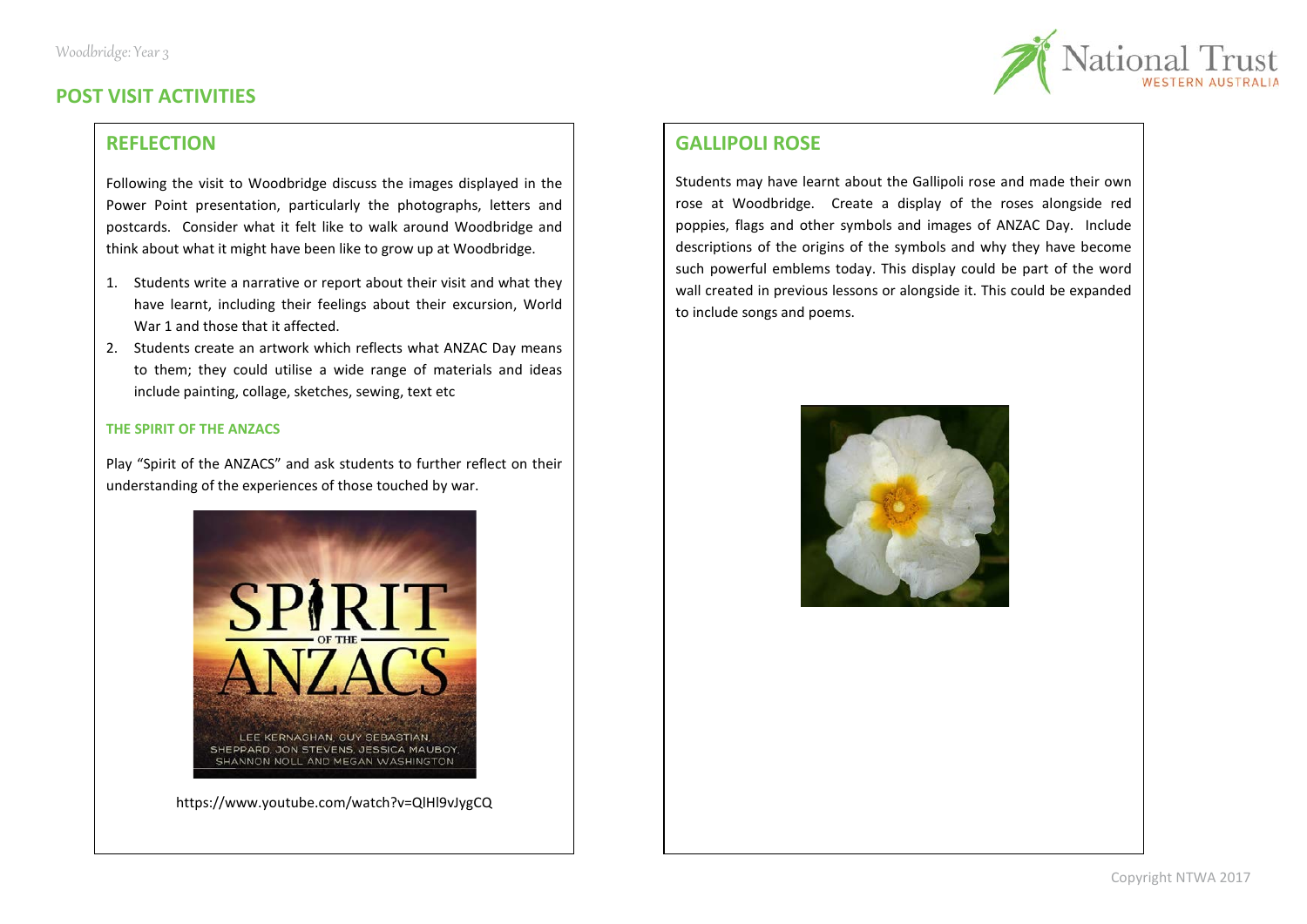

# **POST VISIT ACTIVITIES**

### **REFLECTION**

Following the visit to Woodbridge discuss the images displayed in the Power Point presentation, particularly the photographs, letters and postcards. Consider what it felt like to walk around Woodbridge and think about what it might have been like to grow up at Woodbridge.

- 1. Students write a narrative or report about their visit and what they have learnt, including their feelings about their excursion, World War 1 and those that it affected.
- 2. Students create an artwork which reflects what ANZAC Day means to them; they could utilise a wide range of materials and ideas include painting, collage, sketches, sewing, text etc

#### **THE SPIRIT OF THE ANZACS**

Play "Spirit of the ANZACS" and ask students to further reflect on their understanding of the experiences of those touched by war.



https://www.youtube.com/watch?v=QlHl9vJygCQ

#### **GALLIPOLI ROSE**

Students may have learnt about the Gallipoli rose and made their own rose at Woodbridge. Create a display of the roses alongside red poppies, flags and other symbols and images of ANZAC Day. Include descriptions of the origins of the symbols and why they have become such powerful emblems today. This display could be part of the word wall created in previous lessons or alongside it. This could be expanded to include songs and poems.

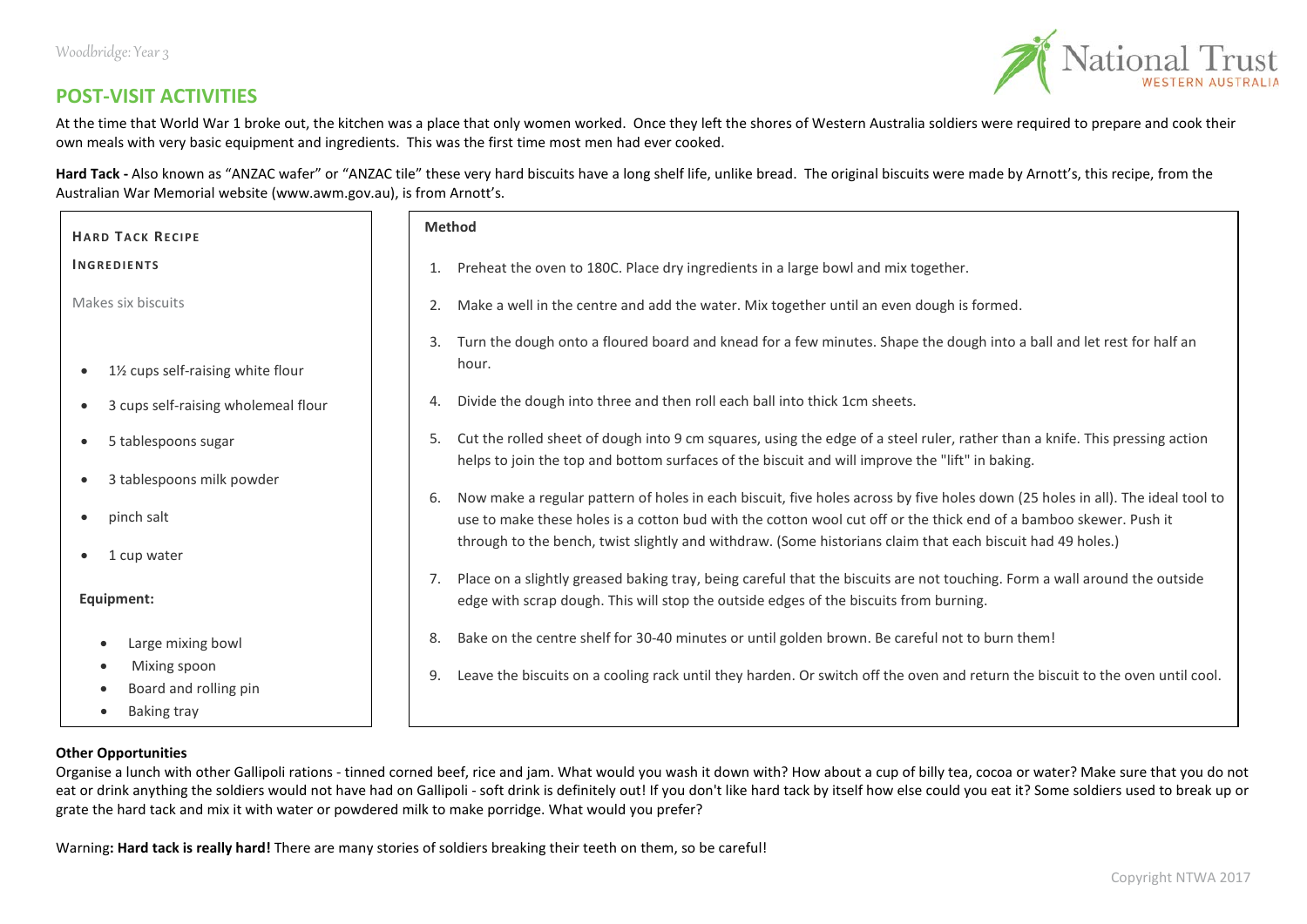

## **POST-VISIT ACTIVITIES**

At the time that World War 1 broke out, the kitchen was a place that only women worked. Once they left the shores of Western Australia soldiers were required to prepare and cook their own meals with very basic equipment and ingredients. This was the first time most men had ever cooked.

Hard Tack - Also known as "ANZAC wafer" or "ANZAC tile" these very hard biscuits have a long shelf life, unlike bread. The original biscuits were made by Arnott's, this recipe, from the Australian War Memorial website (www.awm.gov.au), is from Arnott's.

| <b>HARD TACK RECIPE</b>                                                                            | <b>Method</b>                                                                                                                                                                                                                        |  |  |  |  |  |
|----------------------------------------------------------------------------------------------------|--------------------------------------------------------------------------------------------------------------------------------------------------------------------------------------------------------------------------------------|--|--|--|--|--|
| <b>INGREDIENTS</b>                                                                                 | Preheat the oven to 180C. Place dry ingredients in a large bowl and mix together.<br>1.                                                                                                                                              |  |  |  |  |  |
| Makes six biscuits                                                                                 | Make a well in the centre and add the water. Mix together until an even dough is formed.<br>2.                                                                                                                                       |  |  |  |  |  |
| 1½ cups self-raising white flour<br>$\bullet$                                                      | Turn the dough onto a floured board and knead for a few minutes. Shape the dough into a ball and let rest for half an<br>3.<br>hour.                                                                                                 |  |  |  |  |  |
| 3 cups self-raising wholemeal flour<br>$\bullet$                                                   | Divide the dough into three and then roll each ball into thick 1cm sheets.<br>4.                                                                                                                                                     |  |  |  |  |  |
| 5 tablespoons sugar<br>$\bullet$                                                                   | Cut the rolled sheet of dough into 9 cm squares, using the edge of a steel ruler, rather than a knife. This pressing action<br>5.<br>helps to join the top and bottom surfaces of the biscuit and will improve the "lift" in baking. |  |  |  |  |  |
| 3 tablespoons milk powder<br>$\bullet$                                                             | Now make a regular pattern of holes in each biscuit, five holes across by five holes down (25 holes in all). The ideal tool to<br>-6.                                                                                                |  |  |  |  |  |
| pinch salt<br>1 cup water<br>$\bullet$                                                             | use to make these holes is a cotton bud with the cotton wool cut off or the thick end of a bamboo skewer. Push it<br>through to the bench, twist slightly and withdraw. (Some historians claim that each biscuit had 49 holes.)      |  |  |  |  |  |
| Equipment:                                                                                         | Place on a slightly greased baking tray, being careful that the biscuits are not touching. Form a wall around the outside<br>7.<br>edge with scrap dough. This will stop the outside edges of the biscuits from burning.             |  |  |  |  |  |
| Large mixing bowl<br>$\bullet$                                                                     | Bake on the centre shelf for 30-40 minutes or until golden brown. Be careful not to burn them!<br>8.                                                                                                                                 |  |  |  |  |  |
| Mixing spoon<br>$\bullet$<br>Board and rolling pin<br>$\bullet$<br><b>Baking tray</b><br>$\bullet$ | Leave the biscuits on a cooling rack until they harden. Or switch off the oven and return the biscuit to the oven until cool.<br>9.                                                                                                  |  |  |  |  |  |

#### **Other Opportunities**

Organise a lunch with other Gallipoli rations - tinned corned beef, rice and jam. What would you wash it down with? How about a cup of billy tea, cocoa or water? Make sure that you do not eat or drink anything the soldiers would not have had on Gallipoli - soft drink is definitely out! If you don't like hard tack by itself how else could you eat it? Some soldiers used to break up or grate the hard tack and mix it with water or powdered milk to make porridge. What would you prefer?

Warning**: Hard tack is really hard!** There are many stories of soldiers breaking their teeth on them, so be careful!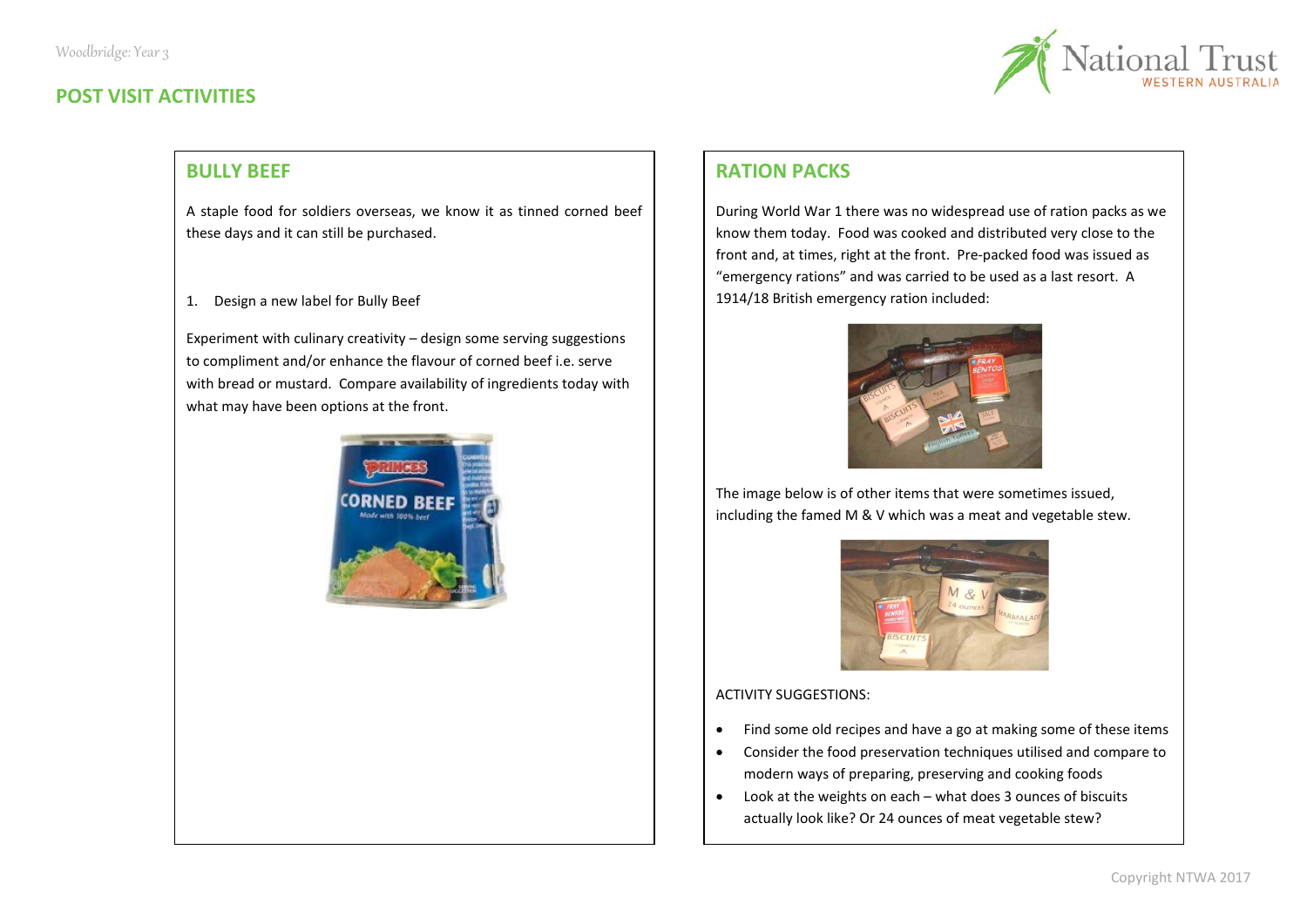# **POST VISIT ACTIVITIES**



# **BULLY BEEF**

A staple food for soldiers overseas, we know it as tinned corned beef these days and it can still be purchased.

1. Design a new label for Bully Beef

Experiment with culinary creativity – design some serving suggestions to compliment and/or enhance the flavour of corned beef i.e. serve with bread or mustard. Compare availability of ingredients today with what may have been options at the front.



# **RATION PACKS**

During World War 1 there was no widespread use of ration packs as we know them today. Food was cooked and distributed very close to the front and, at times, right at the front. Pre-packed food was issued as "emergency rations" and was carried to be used as a last resort. A 1914/18 British emergency ration included:



The image below is of other items that were sometimes issued, including the famed M & V which was a meat and vegetable stew.



ACTIVITY SUGGESTIONS:

- Find some old recipes and have a go at making some of these items
- Consider the food preservation techniques utilised and compare to modern ways of preparing, preserving and cooking foods
- Look at the weights on each what does 3 ounces of biscuits actually look like? Or 24 ounces of meat vegetable stew?